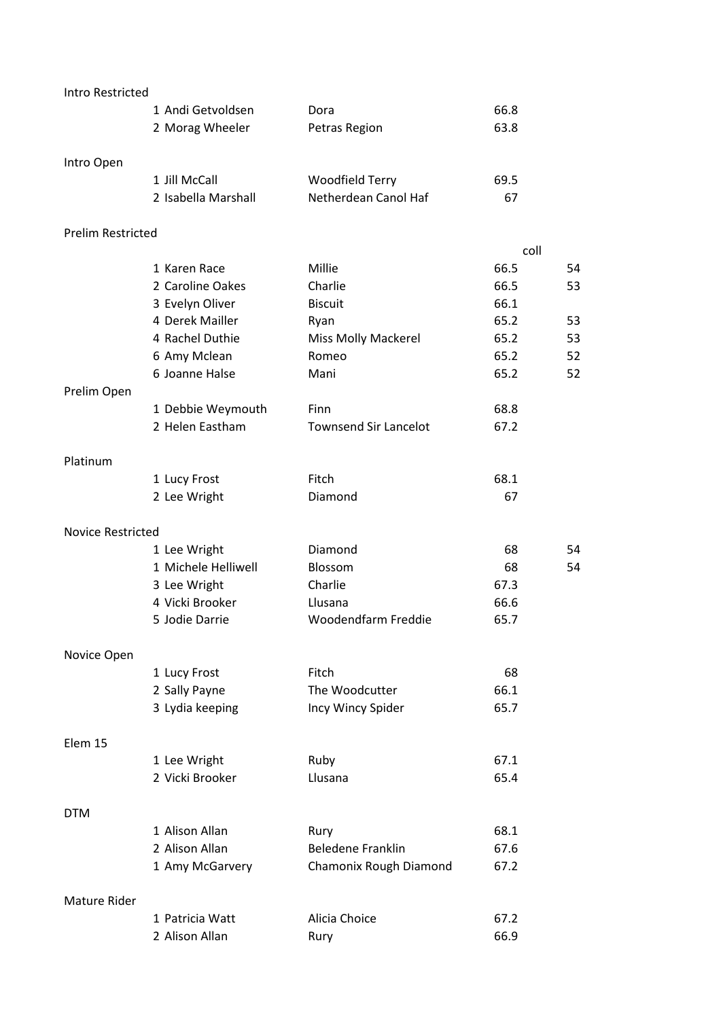| <b>Intro Restricted</b>  |                     |                              |      |    |
|--------------------------|---------------------|------------------------------|------|----|
|                          | 1 Andi Getvoldsen   | Dora                         | 66.8 |    |
|                          | 2 Morag Wheeler     | Petras Region                | 63.8 |    |
| Intro Open               |                     |                              |      |    |
|                          | 1 Jill McCall       | <b>Woodfield Terry</b>       | 69.5 |    |
|                          | 2 Isabella Marshall | Netherdean Canol Haf         | 67   |    |
| <b>Prelim Restricted</b> |                     |                              |      |    |
|                          |                     |                              | coll |    |
|                          | 1 Karen Race        | Millie                       | 66.5 | 54 |
|                          | 2 Caroline Oakes    | Charlie                      | 66.5 | 53 |
|                          | 3 Evelyn Oliver     | <b>Biscuit</b>               | 66.1 |    |
|                          | 4 Derek Mailler     | Ryan                         | 65.2 | 53 |
|                          | 4 Rachel Duthie     | <b>Miss Molly Mackerel</b>   | 65.2 | 53 |
|                          | 6 Amy Mclean        | Romeo                        | 65.2 | 52 |
|                          | 6 Joanne Halse      | Mani                         | 65.2 | 52 |
| Prelim Open              |                     |                              |      |    |
|                          | 1 Debbie Weymouth   | Finn                         | 68.8 |    |
|                          | 2 Helen Eastham     | <b>Townsend Sir Lancelot</b> | 67.2 |    |
| Platinum                 |                     |                              |      |    |
|                          | 1 Lucy Frost        | Fitch                        | 68.1 |    |
|                          | 2 Lee Wright        | Diamond                      | 67   |    |
| <b>Novice Restricted</b> |                     |                              |      |    |
|                          | 1 Lee Wright        | Diamond                      | 68   | 54 |
|                          | 1 Michele Helliwell | Blossom                      | 68   | 54 |
|                          | 3 Lee Wright        | Charlie                      | 67.3 |    |
|                          | 4 Vicki Brooker     | Llusana                      | 66.6 |    |
|                          | 5 Jodie Darrie      | Woodendfarm Freddie          | 65.7 |    |
| Novice Open              |                     |                              |      |    |
|                          | 1 Lucy Frost        | Fitch                        | 68   |    |
|                          | 2 Sally Payne       | The Woodcutter               | 66.1 |    |
|                          | 3 Lydia keeping     | Incy Wincy Spider            | 65.7 |    |
| Elem 15                  |                     |                              |      |    |
|                          | 1 Lee Wright        | Ruby                         | 67.1 |    |
|                          | 2 Vicki Brooker     | Llusana                      | 65.4 |    |
| <b>DTM</b>               |                     |                              |      |    |
|                          | 1 Alison Allan      | Rury                         | 68.1 |    |
|                          | 2 Alison Allan      | <b>Beledene Franklin</b>     | 67.6 |    |
|                          | 1 Amy McGarvery     | Chamonix Rough Diamond       | 67.2 |    |
| <b>Mature Rider</b>      |                     |                              |      |    |
|                          | 1 Patricia Watt     | Alicia Choice                | 67.2 |    |
|                          | 2 Alison Allan      | Rury                         | 66.9 |    |